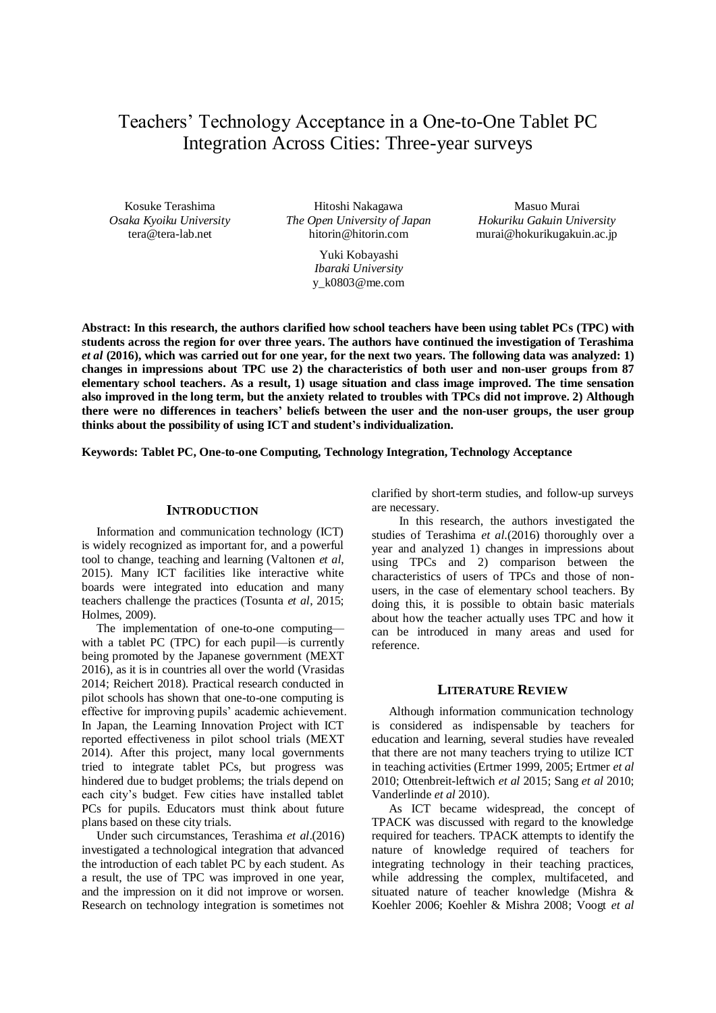# Teachers' Technology Acceptance in a One-to-One Tablet PC Integration Across Cities: Three-year surveys

Kosuke Terashima *Osaka Kyoiku University* tera@tera-lab.net

Hitoshi Nakagawa *The Open University of Japan* hitorin@hitorin.com

> Yuki Kobayashi *Ibaraki University* y\_k0803@me.com

Masuo Murai *Hokuriku Gakuin University* murai@hokurikugakuin.ac.jp

**Abstract: In this research, the authors clarified how school teachers have been using tablet PCs (TPC) with students across the region for over three years. The authors have continued the investigation of Terashima** *et al* **(2016), which was carried out for one year, for the next two years. The following data was analyzed: 1) changes in impressions about TPC use 2) the characteristics of both user and non-user groups from 87 elementary school teachers. As a result, 1) usage situation and class image improved. The time sensation also improved in the long term, but the anxiety related to troubles with TPCs did not improve. 2) Although there were no differences in teachers' beliefs between the user and the non-user groups, the user group thinks about the possibility of using ICT and student's individualization.**

**Keywords: Tablet PC, One-to-one Computing, Technology Integration, Technology Acceptance**

# **INTRODUCTION**

Information and communication technology (ICT) is widely recognized as important for, and a powerful tool to change, teaching and learning (Valtonen *et al*, 2015). Many ICT facilities like interactive white boards were integrated into education and many teachers challenge the practices (Tosunta *et al*, 2015; Holmes, 2009).

The implementation of one-to-one computing with a tablet PC (TPC) for each pupil—is currently being promoted by the Japanese government (MEXT 2016), as it is in countries all over the world (Vrasidas 2014; Reichert 2018). Practical research conducted in pilot schools has shown that one-to-one computing is effective for improving pupils' academic achievement. In Japan, the Learning Innovation Project with ICT reported effectiveness in pilot school trials (MEXT 2014). After this project, many local governments tried to integrate tablet PCs, but progress was hindered due to budget problems; the trials depend on each city's budget. Few cities have installed tablet PCs for pupils. Educators must think about future plans based on these city trials.

Under such circumstances, Terashima *et al*.(2016) investigated a technological integration that advanced the introduction of each tablet PC by each student. As a result, the use of TPC was improved in one year, and the impression on it did not improve or worsen. Research on technology integration is sometimes not

clarified by short-term studies, and follow-up surveys are necessary.

 In this research, the authors investigated the studies of Terashima *et al*.(2016) thoroughly over a year and analyzed 1) changes in impressions about using TPCs and 2) comparison between the characteristics of users of TPCs and those of nonusers, in the case of elementary school teachers. By doing this, it is possible to obtain basic materials about how the teacher actually uses TPC and how it can be introduced in many areas and used for reference.

# **LITERATURE REVIEW**

Although information communication technology is considered as indispensable by teachers for education and learning, several studies have revealed that there are not many teachers trying to utilize ICT in teaching activities (Ertmer 1999, 2005; Ertmer *et al*  2010; Ottenbreit-leftwich *et al* 2015; Sang *et al* 2010; Vanderlinde *et al* 2010).

As ICT became widespread, the concept of TPACK was discussed with regard to the knowledge required for teachers. TPACK attempts to identify the nature of knowledge required of teachers for integrating technology in their teaching practices, while addressing the complex, multifaceted, and situated nature of teacher knowledge (Mishra & Koehler 2006; Koehler & Mishra 2008; Voogt *et al*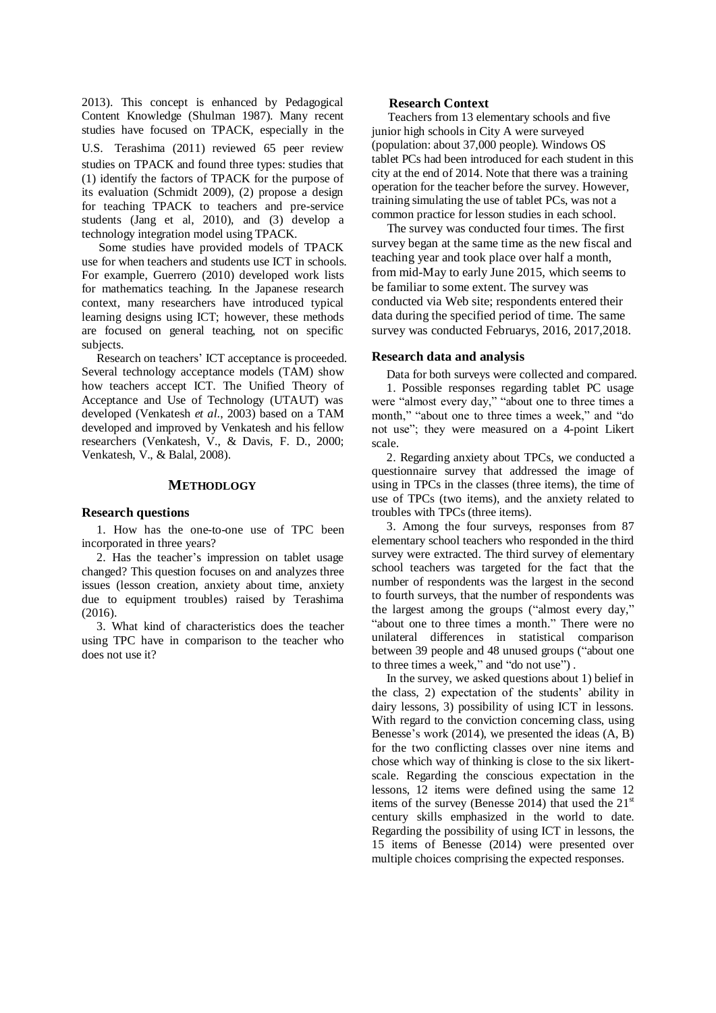2013). This concept is enhanced by Pedagogical Content Knowledge (Shulman 1987). Many recent studies have focused on TPACK, especially in the U.S. Terashima (2011) reviewed 65 peer review studies on TPACK and found three types: studies that (1) identify the factors of TPACK for the purpose of its evaluation (Schmidt 2009), (2) propose a design for teaching TPACK to teachers and pre-service students (Jang et al, 2010), and (3) develop a technology integration model using TPACK.

Some studies have provided models of TPACK use for when teachers and students use ICT in schools. For example, Guerrero (2010) developed work lists for mathematics teaching. In the Japanese research context, many researchers have introduced typical learning designs using ICT; however, these methods are focused on general teaching, not on specific subjects.

Research on teachers' ICT acceptance is proceeded. Several technology acceptance models (TAM) show how teachers accept ICT. The Unified Theory of Acceptance and Use of Technology (UTAUT) was developed (Venkatesh *et al*., 2003) based on a TAM developed and improved by Venkatesh and his fellow researchers (Venkatesh, V., & Davis, F. D., 2000; Venkatesh, V., & Balal, 2008).

#### **METHODLOGY**

#### **Research questions**

1. How has the one-to-one use of TPC been incorporated in three years?

2. Has the teacher's impression on tablet usage changed? This question focuses on and analyzes three issues (lesson creation, anxiety about time, anxiety due to equipment troubles) raised by Terashima (2016).

3. What kind of characteristics does the teacher using TPC have in comparison to the teacher who does not use it?

#### **Research Context**

 Teachers from 13 elementary schools and five junior high schools in City A were surveyed (population: about 37,000 people). Windows OS tablet PCs had been introduced for each student in this city at the end of 2014. Note that there was a training operation for the teacher before the survey. However, training simulating the use of tablet PCs, was not a common practice for lesson studies in each school.

 The survey was conducted four times. The first survey began at the same time as the new fiscal and teaching year and took place over half a month, from mid-May to early June 2015, which seems to be familiar to some extent. The survey was conducted via Web site; respondents entered their data during the specified period of time. The same survey was conducted Februarys, 2016, 2017,2018.

#### **Research data and analysis**

Data for both surveys were collected and compared.

1. Possible responses regarding tablet PC usage were "almost every day," "about one to three times a month," "about one to three times a week," and "do not use"; they were measured on a 4-point Likert scale.

2. Regarding anxiety about TPCs, we conducted a questionnaire survey that addressed the image of using in TPCs in the classes (three items), the time of use of TPCs (two items), and the anxiety related to troubles with TPCs (three items).

3. Among the four surveys, responses from 87 elementary school teachers who responded in the third survey were extracted. The third survey of elementary school teachers was targeted for the fact that the number of respondents was the largest in the second to fourth surveys, that the number of respondents was the largest among the groups ("almost every day," "about one to three times a month." There were no unilateral differences in statistical comparison between 39 people and 48 unused groups ("about one to three times a week," and "do not use") .

In the survey, we asked questions about 1) belief in the class, 2) expectation of the students' ability in dairy lessons, 3) possibility of using ICT in lessons. With regard to the conviction concerning class, using Benesse's work (2014), we presented the ideas (A, B) for the two conflicting classes over nine items and chose which way of thinking is close to the six likertscale. Regarding the conscious expectation in the lessons, 12 items were defined using the same 12 items of the survey (Benesse 2014) that used the  $21<sup>st</sup>$ century skills emphasized in the world to date. Regarding the possibility of using ICT in lessons, the 15 items of Benesse (2014) were presented over multiple choices comprising the expected responses.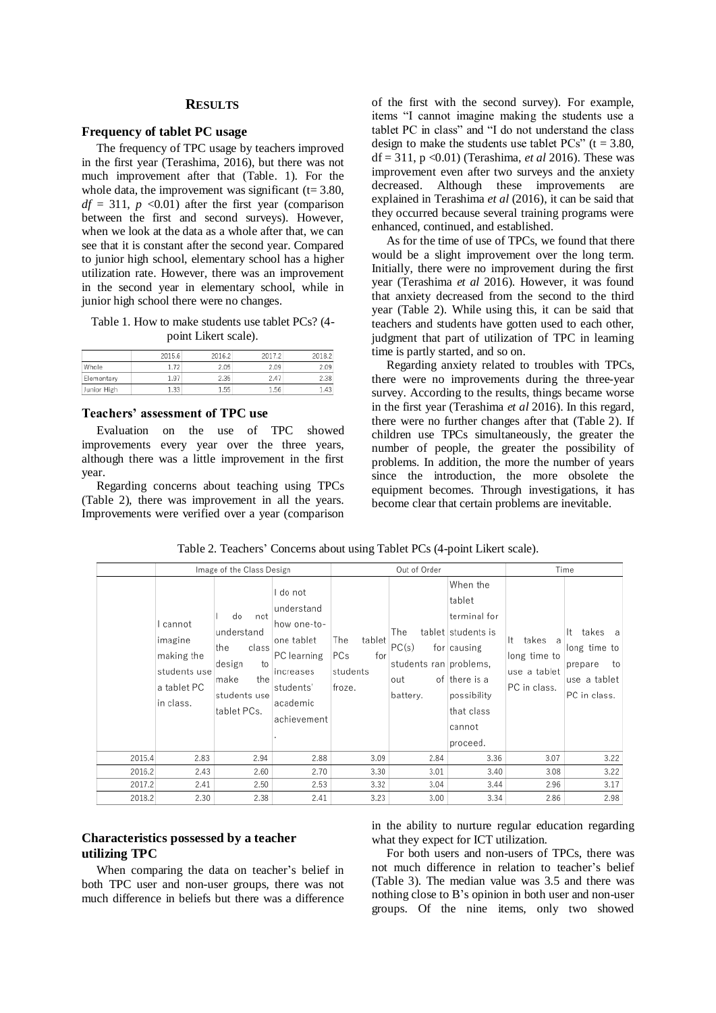## **RESULTS**

## **Frequency of tablet PC usage**

The frequency of TPC usage by teachers improved in the first year (Terashima, 2016), but there was not much improvement after that (Table. 1). For the whole data, the improvement was significant ( $t= 3.80$ ,  $df = 311$ ,  $p \le 0.01$ ) after the first year (comparison between the first and second surveys). However, when we look at the data as a whole after that, we can see that it is constant after the second year. Compared to junior high school, elementary school has a higher utilization rate. However, there was an improvement in the second year in elementary school, while in junior high school there were no changes.

## Table 1. How to make students use tablet PCs? (4 point Likert scale).

|             | 2015.6 | 2016.2 | 2017.2 | 2018.2 |
|-------------|--------|--------|--------|--------|
| Whole       | 1.72   | 2.05   | 2.09   | 2.09   |
| Elementary  | 1.97   | 2.35   | 2.47   | 2.38   |
| Junior High | 1.33   | 1.55   | 1.56   | 1.43   |

## **Teachers' assessment of TPC use**

Evaluation on the use of TPC showed improvements every year over the three years, although there was a little improvement in the first year.

Regarding concerns about teaching using TPCs (Table 2), there was improvement in all the years. Improvements were verified over a year (comparison

of the first with the second survey). For example, items "I cannot imagine making the students use a tablet PC in class" and "I do not understand the class design to make the students use tablet PCs"  $(t = 3.80,$ df = 311, p <0.01) (Terashima, *et al* 2016). These was improvement even after two surveys and the anxiety decreased. Although these improvements are explained in Terashima *et al* (2016), it can be said that they occurred because several training programs were enhanced, continued, and established.

As for the time of use of TPCs, we found that there would be a slight improvement over the long term. Initially, there were no improvement during the first year (Terashima *et al* 2016). However, it was found that anxiety decreased from the second to the third year (Table 2). While using this, it can be said that teachers and students have gotten used to each other, judgment that part of utilization of TPC in learning time is partly started, and so on.

Regarding anxiety related to troubles with TPCs, there were no improvements during the three-year survey. According to the results, things became worse in the first year (Terashima *et al* 2016). In this regard, there were no further changes after that (Table 2). If children use TPCs simultaneously, the greater the number of people, the greater the possibility of problems. In addition, the more the number of years since the introduction, the more obsolete the equipment becomes. Through investigations, it has become clear that certain problems are inevitable.

Table 2. Teachers' Concerns about using Tablet PCs (4-point Likert scale).

|        |                                                                               | Image of the Class Design                                                                             |                                                                                                                         |                                                   | Out of Order                                              |                                                                                                                                             |                                                                  | Time                                                                         |
|--------|-------------------------------------------------------------------------------|-------------------------------------------------------------------------------------------------------|-------------------------------------------------------------------------------------------------------------------------|---------------------------------------------------|-----------------------------------------------------------|---------------------------------------------------------------------------------------------------------------------------------------------|------------------------------------------------------------------|------------------------------------------------------------------------------|
|        | l cannot<br>imagine<br>making the<br>students use<br>a tablet PC<br>in class. | do<br>not<br>understand<br>class<br>the<br>design<br>to<br>make<br>the<br>students use<br>tablet PCs. | I do not<br>understand<br>how one-to-<br>one tablet<br>PC learning<br>increases<br>students'<br>academic<br>achievement | tablet<br>The<br>PCs<br>for<br>students<br>froze. | The<br>PC(s)<br>students ran problems,<br>out<br>battery. | When the<br>tablet<br>terminal for<br>tablet students is<br>for causing<br>of there is a<br>possibility<br>that class<br>cannot<br>proceed. | takes<br>It<br>a<br>long time to<br>use a tablet<br>PC in class. | takes<br>It<br>long time to<br>to<br>prepare<br>use a tablet<br>PC in class. |
| 2015.4 | 2.83                                                                          | 2.94                                                                                                  | 2.88                                                                                                                    | 3.09                                              | 2.84                                                      | 3.36                                                                                                                                        | 3.07                                                             | 3.22                                                                         |
| 2016.2 | 2.43                                                                          | 2.60                                                                                                  | 2.70                                                                                                                    | 3.30                                              | 3.01                                                      | 3.40                                                                                                                                        | 3.08                                                             | 3.22                                                                         |
| 2017.2 | 2.41                                                                          | 2.50                                                                                                  | 2.53                                                                                                                    | 3.32                                              | 3.04                                                      | 3.44                                                                                                                                        | 2.96                                                             | 3.17                                                                         |
| 2018.2 | 2.30                                                                          | 2.38                                                                                                  | 2.41                                                                                                                    | 3.23                                              | 3.00                                                      | 3.34                                                                                                                                        | 2.86                                                             | 2.98                                                                         |

# **Characteristics possessed by a teacher utilizing TPC**

When comparing the data on teacher's belief in both TPC user and non-user groups, there was not much difference in beliefs but there was a difference in the ability to nurture regular education regarding what they expect for ICT utilization.

For both users and non-users of TPCs, there was not much difference in relation to teacher's belief (Table 3). The median value was 3.5 and there was nothing close to B's opinion in both user and non-user groups. Of the nine items, only two showed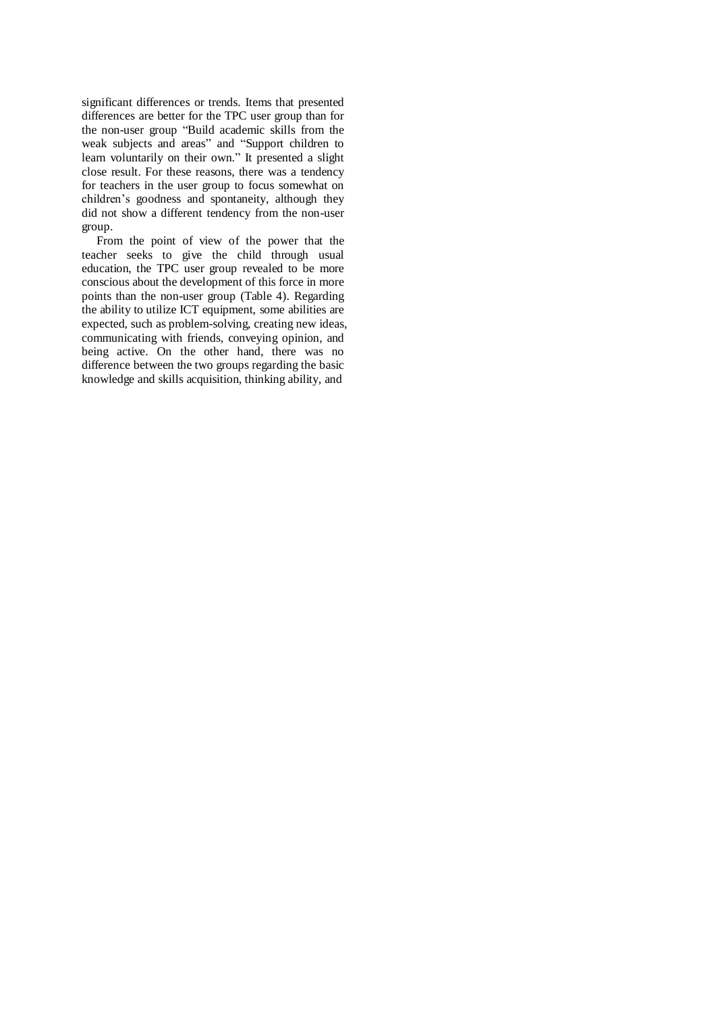significant differences or trends. Items that presented differences are better for the TPC user group than for the non-user group "Build academic skills from the weak subjects and areas" and "Support children to learn voluntarily on their own." It presented a slight close result. For these reasons, there was a tendency for teachers in the user group to focus somewhat on children's goodness and spontaneity, although they did not show a different tendency from the non-user group.

From the point of view of the power that the teacher seeks to give the child through usual education, the TPC user group revealed to be more conscious about the development of this force in more points than the non-user group (Table 4). Regarding the ability to utilize ICT equipment, some abilities are expected, such as problem-solving, creating new ideas, communicating with friends, conveying opinion, and being active. On the other hand, there was no difference between the two groups regarding the basic knowledge and skills acquisition, thinking ability, and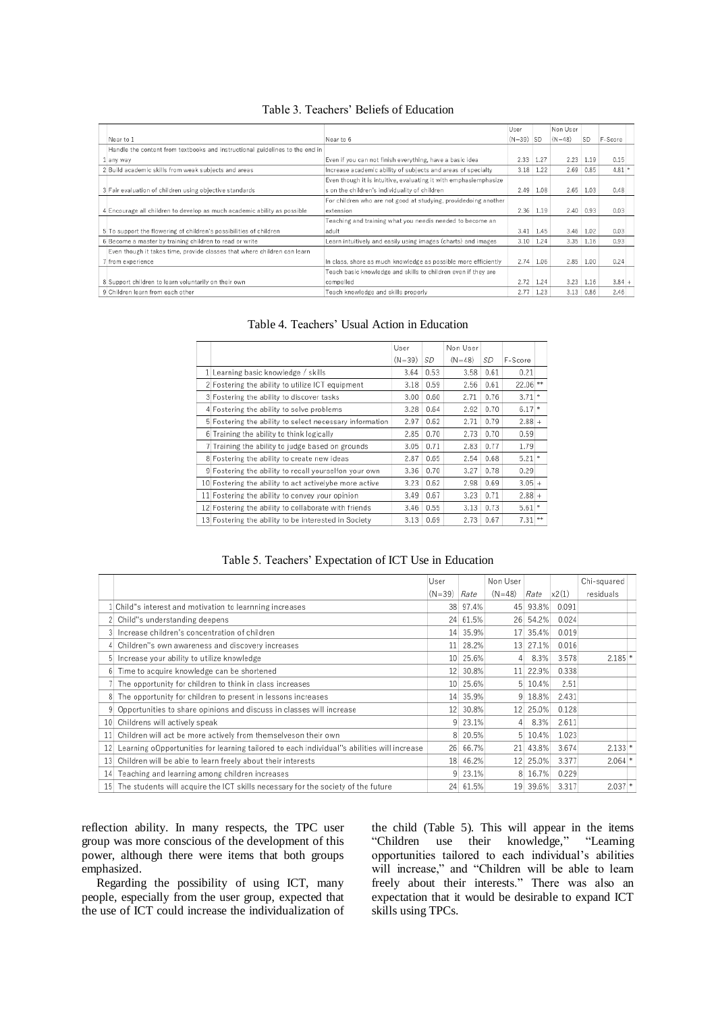# Table 3. Teachers' Beliefs of Education

|                                                                              |                                                                  | User     |                  | Non User |                  |          |
|------------------------------------------------------------------------------|------------------------------------------------------------------|----------|------------------|----------|------------------|----------|
| Near to 1                                                                    | Near to 6                                                        | $(N=39)$ | <b>SD</b>        | $(N=48)$ | <b>SD</b>        | F-Score  |
| Handle the content from textbooks and instructional guidelines to the end in |                                                                  |          |                  |          |                  |          |
| any way                                                                      | Even if you can not finish everything, have a basic idea         | 2.33     | 1.27             |          | $2.23$ 1.19      | 0.15     |
| 2 Build academic skills from weak subjects and areas                         | Increase academic ability of subjects and areas of specialty     | 3.18     | 1.22             | 2.69     | 0.85             | $4.81*$  |
|                                                                              | Even though it is intuitive, evaluating it with emphasiemphasize |          |                  |          |                  |          |
| 3 Fair evaluation of children using objective standards                      | s on the children's individuality of children                    | 2.49     | 1.08             | 2.65     | 1.03             | 0.48     |
|                                                                              | For children who are not good at studying, providedoing another  |          |                  |          |                  |          |
| 4 Encourage all children to develop as much academic ability as possible     | extension                                                        | 2.36     | 1.19             | 2.40     | 0.93             | 0.03     |
|                                                                              | Teaching and training what you needis needed to become an        |          |                  |          |                  |          |
| 5 To support the flowering of children's possibilities of children           | adult                                                            | 3.41     | 1.45             |          | 3.46 1.02        | 0.03     |
| 6 Become a master by training children to read or write                      | Learn intuitively and easily using images (charts) and images    | 3.10     | 1.24             | 3.35     | 1.16             | 0.93     |
| Even though it takes time, provide classes that where children can learn     |                                                                  |          |                  |          |                  |          |
| 7 from experience                                                            | In class, share as much knowledge as possible more efficiently   | 2.74     | 1.06             | 2.85     | 1.00             | 0.24     |
|                                                                              | Teach basic knowledge and skills to children even if they are    |          |                  |          |                  |          |
| 8 Support children to learn voluntarily on their own                         | compelled                                                        |          | $2.72 \mid 1.24$ |          | $3.23 \mid 1.16$ | $3.84 +$ |
| 9 Children learn from each other                                             | Teach knowledge and skills properly                              | 2.77     | 1.23             | 3.13     | 0.86             | 2.46     |

# Table 4. Teachers' Usual Action in Education

|                                                         | User     |      | Non User |      |          |    |
|---------------------------------------------------------|----------|------|----------|------|----------|----|
|                                                         | $(N=39)$ | SD   | $(N=48)$ | SD   | F-Score  |    |
| 1 Learning basic knowledge / skills                     | 3.64     | 0.53 | 3.58     | 0.61 | 0.21     |    |
| 2 Fostering the ability to utilize ICT equipment        | 3.18     | 0.59 | 2.56     | 0.61 | 22.06 ** |    |
| 3 Fostering the ability to discover tasks               | 3.00     | 0.60 | 2.71     | 0.76 | $3.71*$  |    |
| 4 Fostering the ability to solve problems               | 3.28     | 0.64 | 2.92     | 0.70 | $6.17*$  |    |
| 5 Fostering the ability to select necessary information | 2.97     | 0.62 | 2.71     | 0.79 | $2.88 +$ |    |
| 6 Training the ability to think logically               | 2.85     | 0.70 | 2.73     | 0.70 | 0.59     |    |
| 7 Training the ability to judge based on grounds        | 3.05     | 0.71 | 2.83     | 0.77 | 1.79     |    |
| 8 Fostering the ability to create new ideas             | 2.87     | 0.65 | 2.54     | 0.68 | $5.21*$  |    |
| 9 Fostering the ability to recall yourselfon your own   | 3.36     | 0.70 | 3.27     | 0.78 | 0.29     |    |
| 10 Fostering the ability to act activelybe more active  | 3.23     | 0.62 | 2.98     | 0.69 | $3.05 +$ |    |
| 11 Fostering the ability to convey your opinion         | 3.49     | 0.67 | 3.23     | 0.71 | $2.88 +$ |    |
| 12 Fostering the ability to collaborate with friends    | 3.46     | 0.55 | 3.13     | 0.73 | $5.61*$  |    |
| 13 Fostering the ability to be interested in Society    | 3.13     | 0.69 | 2.73     | 0.67 | 7.31     | 素本 |

|    |                                                                                            | User     |          | Non User |       |       | Chi-squared |
|----|--------------------------------------------------------------------------------------------|----------|----------|----------|-------|-------|-------------|
|    |                                                                                            | $(N=39)$ | Rate     | $(N=48)$ | Rate  | x2(1) | residuals   |
|    | Child"s interest and motivation to learnning increases                                     |          | 38 97.4% | 45       | 93.8% | 0.091 |             |
|    | 2 Child"s understanding deepens                                                            |          | 24 61.5% | 26       | 54.2% | 0.024 |             |
|    | Increase children's concentration of children                                              |          | 14 35.9% | 17       | 35.4% | 0.019 |             |
|    | Children"s own awareness and discovery increases                                           | 11       | 28.2%    | 13       | 27.1% | 0.016 |             |
|    | 5 Increase your ability to utilize knowledge                                               |          | 10 25.6% | 4        | 8.3%  | 3.578 | $2.185$ *   |
| 61 | Time to acquire knowledge can be shortened                                                 |          | 12 30.8% | 11       | 22.9% | 0.338 |             |
|    | 7 The opportunity for children to think in class increases                                 |          | 10 25.6% | 51       | 10.4% | 2.51  |             |
|    | The opportunity for children to present in lessons increases                               |          | 14 35.9% | 9        | 18.8% | 2.431 |             |
| 91 | Opportunities to share opinions and discuss in classes will increase                       |          | 12 30.8% | 12       | 25.0% | 0.128 |             |
| 10 | Childrens will actively speak                                                              |          | 9 23.1%  | 4        | 8.3%  | 2.611 |             |
| 11 | Children will act be more actively from themselveson their own                             | 8        | 20.5%    | 5        | 10.4% | 1.023 |             |
| 12 | Learning oOpportunities for learning tailored to each individual"s abilities will increase |          | 26 66.7% | 21       | 43.8% | 3.674 | 2.133       |
| 13 | Children will be able to learn freely about their interests                                |          | 18 46.2% | 12       | 25.0% | 3.377 | 2.064       |
|    | 14 Teaching and learning among children increases                                          | 9        | 23.1%    | 8        | 16.7% | 0.229 |             |
|    | 15 The students will acquire the ICT skills necessary for the society of the future        |          | 24 61.5% | 19       | 39.6% | 3.317 | $2.037$ *   |

reflection ability. In many respects, the TPC user group was more conscious of the development of this power, although there were items that both groups emphasized.

Regarding the possibility of using ICT, many people, especially from the user group, expected that the use of ICT could increase the individualization of

the child (Table 5). This will appear in the items "Children use their knowledge," "Learning opportunities tailored to each individual's abilities will increase," and "Children will be able to learn freely about their interests." There was also an expectation that it would be desirable to expand ICT skills using TPCs.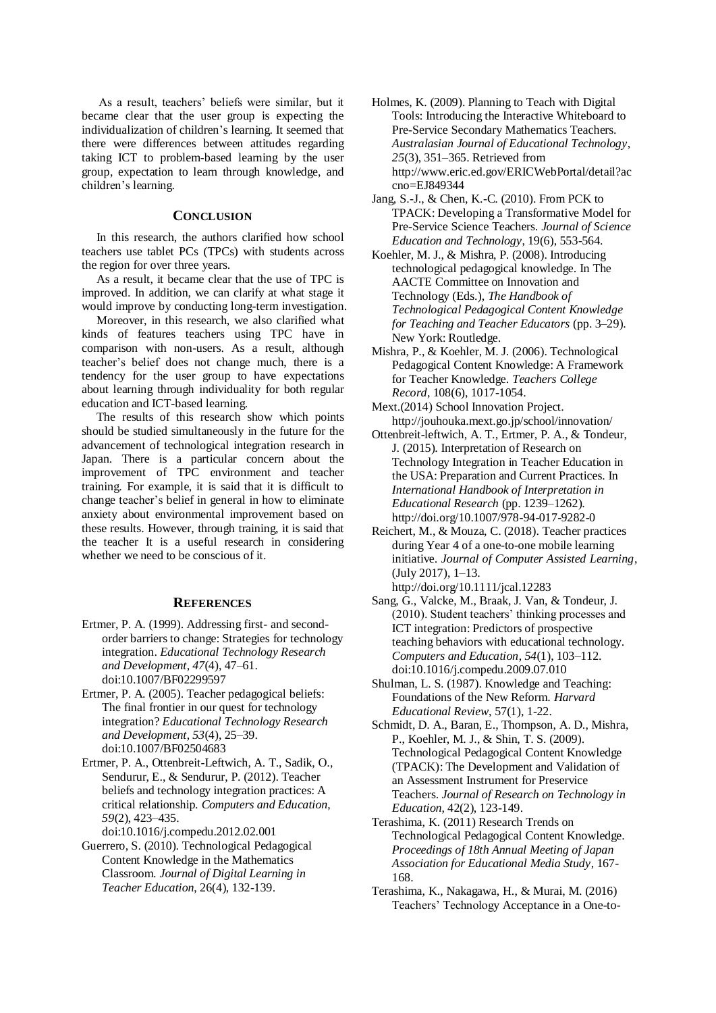As a result, teachers' beliefs were similar, but it became clear that the user group is expecting the individualization of children's learning. It seemed that there were differences between attitudes regarding taking ICT to problem-based learning by the user group, expectation to learn through knowledge, and children's learning.

## **CONCLUSION**

In this research, the authors clarified how school teachers use tablet PCs (TPCs) with students across the region for over three years.

As a result, it became clear that the use of TPC is improved. In addition, we can clarify at what stage it would improve by conducting long-term investigation.

Moreover, in this research, we also clarified what kinds of features teachers using TPC have in comparison with non-users. As a result, although teacher's belief does not change much, there is a tendency for the user group to have expectations about learning through individuality for both regular education and ICT-based learning.

The results of this research show which points should be studied simultaneously in the future for the advancement of technological integration research in Japan. There is a particular concern about the improvement of TPC environment and teacher training. For example, it is said that it is difficult to change teacher's belief in general in how to eliminate anxiety about environmental improvement based on these results. However, through training, it is said that the teacher It is a useful research in considering whether we need to be conscious of it.

#### **REFERENCES**

- Ertmer, P. A. (1999). Addressing first- and secondorder barriers to change: Strategies for technology integration. *Educational Technology Research and Development*, *47*(4), 47–61. doi:10.1007/BF02299597
- Ertmer, P. A. (2005). Teacher pedagogical beliefs: The final frontier in our quest for technology integration? *Educational Technology Research and Development*, *53*(4), 25–39. doi:10.1007/BF02504683
- Ertmer, P. A., Ottenbreit-Leftwich, A. T., Sadik, O., Sendurur, E., & Sendurur, P. (2012). Teacher beliefs and technology integration practices: A critical relationship. *Computers and Education*, *59*(2), 423–435. doi:10.1016/j.compedu.2012.02.001

Guerrero, S. (2010). Technological Pedagogical Content Knowledge in the Mathematics

Classroom. *Journal of Digital Learning in Teacher Education*, 26(4), 132-139.

- Holmes, K. (2009). Planning to Teach with Digital Tools: Introducing the Interactive Whiteboard to Pre-Service Secondary Mathematics Teachers. *Australasian Journal of Educational Technology*, *25*(3), 351–365. Retrieved from http://www.eric.ed.gov/ERICWebPortal/detail?ac cno=EJ849344
- Jang, S.-J., & Chen, K.-C. (2010). From PCK to TPACK: Developing a Transformative Model for Pre-Service Science Teachers. *Journal of Science Education and Technology*, 19(6), 553-564.
- Koehler, M. J., & Mishra, P. (2008). Introducing technological pedagogical knowledge. In The AACTE Committee on Innovation and Technology (Eds.), *The Handbook of Technological Pedagogical Content Knowledge for Teaching and Teacher Educators* (pp. 3–29). New York: Routledge.
- Mishra, P., & Koehler, M. J. (2006). Technological Pedagogical Content Knowledge: A Framework for Teacher Knowledge. *Teachers College Record*, 108(6), 1017-1054.
- Mext.(2014) School Innovation Project. http://jouhouka.mext.go.jp/school/innovation/
- Ottenbreit-leftwich, A. T., Ertmer, P. A., & Tondeur, J. (2015). Interpretation of Research on Technology Integration in Teacher Education in the USA: Preparation and Current Practices. In *International Handbook of Interpretation in Educational Research* (pp. 1239–1262). http://doi.org/10.1007/978-94-017-9282-0
- Reichert, M., & Mouza, C. (2018). Teacher practices during Year 4 of a one-to-one mobile learning initiative. *Journal of Computer Assisted Learning*, (July 2017), 1–13. http://doi.org/10.1111/jcal.12283
- Sang, G., Valcke, M., Braak, J. Van, & Tondeur, J. (2010). Student teachers' thinking processes and ICT integration: Predictors of prospective teaching behaviors with educational technology. *Computers and Education*, *54*(1), 103–112. doi:10.1016/j.compedu.2009.07.010
- Shulman, L. S. (1987). Knowledge and Teaching: Foundations of the New Reform. *Harvard Educational Review*, 57(1), 1-22.
- Schmidt, D. A., Baran, E., Thompson, A. D., Mishra, P., Koehler, M. J., & Shin, T. S. (2009). Technological Pedagogical Content Knowledge (TPACK): The Development and Validation of an Assessment Instrument for Preservice Teachers. *Journal of Research on Technology in Education*, 42(2), 123-149.
- Terashima, K. (2011) Research Trends on Technological Pedagogical Content Knowledge. *Proceedings of 18th Annual Meeting of Japan Association for Educational Media Study*, 167- 168.
- Terashima, K., Nakagawa, H., & Murai, M. (2016) Teachers' Technology Acceptance in a One-to-